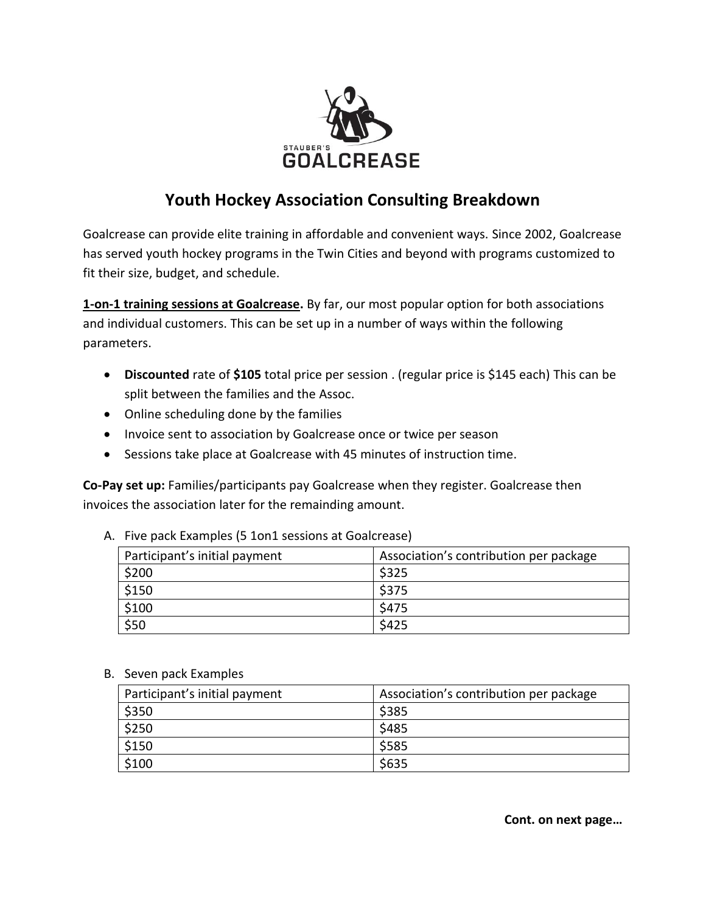

## **Youth Hockey Association Consulting Breakdown**

Goalcrease can provide elite training in affordable and convenient ways. Since 2002, Goalcrease has served youth hockey programs in the Twin Cities and beyond with programs customized to fit their size, budget, and schedule.

**1-on-1 training sessions at Goalcrease.** By far, our most popular option for both associations and individual customers. This can be set up in a number of ways within the following parameters.

- **Discounted** rate of \$105 total price per session . (regular price is \$145 each) This can be split between the families and the Assoc.
- Online scheduling done by the families
- Invoice sent to association by Goalcrease once or twice per season
- Sessions take place at Goalcrease with 45 minutes of instruction time.

**Co-Pay set up:** Families/participants pay Goalcrease when they register. Goalcrease then invoices the association later for the remainding amount.

| Participant's initial payment | Association's contribution per package |
|-------------------------------|----------------------------------------|
| \$200                         | \$325                                  |
| \$150                         | \$375                                  |
| \$100                         | \$475                                  |
| \$50                          | \$425                                  |

A. Five pack Examples (5 1on1 sessions at Goalcrease)

B. Seven pack Examples

| Participant's initial payment | Association's contribution per package |
|-------------------------------|----------------------------------------|
| \$350                         | \$385                                  |
| \$250                         | \$485                                  |
| \$150                         | \$585                                  |
| \$100                         | \$635                                  |